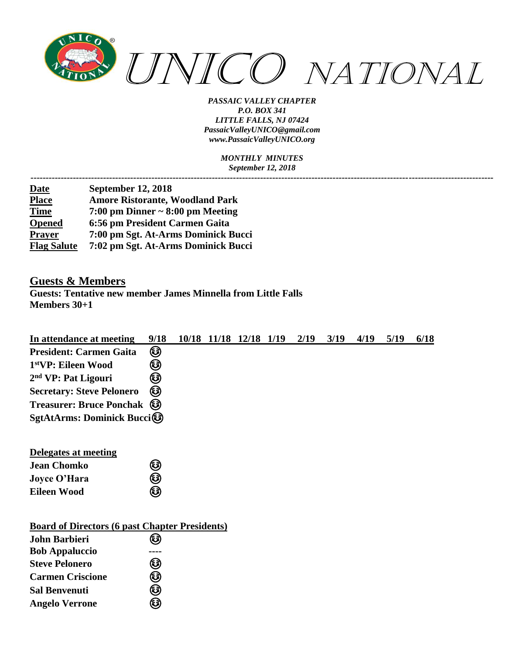

> *MONTHLY MINUTES September 12, 2018*

| <b>Date</b>        | <b>September 12, 2018</b>              |
|--------------------|----------------------------------------|
| <b>Place</b>       | <b>Amore Ristorante, Woodland Park</b> |
| <b>Time</b>        | 7:00 pm Dinner $\sim 8:00$ pm Meeting  |
| <b>Opened</b>      | 6:56 pm President Carmen Gaita         |
| <b>Prayer</b>      | 7:00 pm Sgt. At-Arms Dominick Bucci    |
| <b>Flag Salute</b> | 7:02 pm Sgt. At-Arms Dominick Bucci    |

### **Guests & Members**

**Guests: Tentative new member James Minnella from Little Falls Members 30+1**

| In attendance at meeting                              | 9/18 |  | 10/18 11/18 12/18 1/19 | 2/19 | 3/19 | 4/19 | 5/19 | 6/18 |
|-------------------------------------------------------|------|--|------------------------|------|------|------|------|------|
| <b>President: Carmen Gaita</b>                        | ☺    |  |                        |      |      |      |      |      |
| 1stVP: Eileen Wood                                    | ☺    |  |                        |      |      |      |      |      |
| 2 <sup>nd</sup> VP: Pat Ligouri                       | ☺    |  |                        |      |      |      |      |      |
| <b>Secretary: Steve Pelonero</b>                      | ❸    |  |                        |      |      |      |      |      |
| <b>Treasurer: Bruce Ponchak</b>                       | ❸    |  |                        |      |      |      |      |      |
| SgtAtArms: Dominick Bucci                             |      |  |                        |      |      |      |      |      |
|                                                       |      |  |                        |      |      |      |      |      |
| <b>Delegates at meeting</b>                           |      |  |                        |      |      |      |      |      |
| <b>Jean Chomko</b>                                    |      |  |                        |      |      |      |      |      |
|                                                       | ❸    |  |                        |      |      |      |      |      |
| <b>Joyce O'Hara</b>                                   | ☺    |  |                        |      |      |      |      |      |
| <b>Eileen Wood</b>                                    | ☺    |  |                        |      |      |      |      |      |
|                                                       |      |  |                        |      |      |      |      |      |
| <b>Board of Directors (6 past Chapter Presidents)</b> |      |  |                        |      |      |      |      |      |
| <b>John Barbieri</b>                                  | 3    |  |                        |      |      |      |      |      |
| <b>Bob Appaluccio</b>                                 |      |  |                        |      |      |      |      |      |
| <b>Steve Pelonero</b>                                 | ☺    |  |                        |      |      |      |      |      |
| <b>Carmen Criscione</b>                               | ☺    |  |                        |      |      |      |      |      |
| <b>Sal Benvenuti</b>                                  | ☺    |  |                        |      |      |      |      |      |
| <b>Angelo Verrone</b>                                 | ☺    |  |                        |      |      |      |      |      |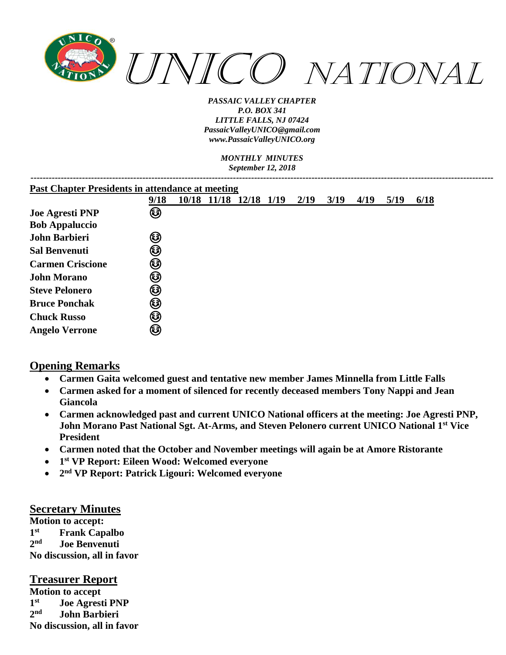

> *MONTHLY MINUTES September 12, 2018*

| <b>Past Chapter Presidents in attendance at meeting</b> |      |  |                        |  |  |      |      |      |      |      |
|---------------------------------------------------------|------|--|------------------------|--|--|------|------|------|------|------|
|                                                         | 9/18 |  | 10/18 11/18 12/18 1/19 |  |  | 2/19 | 3/19 | 4/19 | 5/19 | 6/18 |
| <b>Joe Agresti PNP</b>                                  | ☺    |  |                        |  |  |      |      |      |      |      |
| <b>Bob Appaluccio</b>                                   |      |  |                        |  |  |      |      |      |      |      |
| <b>John Barbieri</b>                                    | ☺    |  |                        |  |  |      |      |      |      |      |
| <b>Sal Benvenuti</b>                                    | ☺    |  |                        |  |  |      |      |      |      |      |
| <b>Carmen Criscione</b>                                 | ☺    |  |                        |  |  |      |      |      |      |      |
| <b>John Morano</b>                                      | ☺    |  |                        |  |  |      |      |      |      |      |
| <b>Steve Pelonero</b>                                   | ☺    |  |                        |  |  |      |      |      |      |      |
| <b>Bruce Ponchak</b>                                    | ☺    |  |                        |  |  |      |      |      |      |      |
| <b>Chuck Russo</b>                                      | ☺    |  |                        |  |  |      |      |      |      |      |
| <b>Angelo Verrone</b>                                   | ❸    |  |                        |  |  |      |      |      |      |      |
|                                                         |      |  |                        |  |  |      |      |      |      |      |

### **Opening Remarks**

- **Carmen Gaita welcomed guest and tentative new member James Minnella from Little Falls**
- **Carmen asked for a moment of silenced for recently deceased members Tony Nappi and Jean Giancola**
- **Carmen acknowledged past and current UNICO National officers at the meeting: Joe Agresti PNP, John Morano Past National Sgt. At-Arms, and Steven Pelonero current UNICO National 1st Vice President**
- **Carmen noted that the October and November meetings will again be at Amore Ristorante**
- **1 st VP Report: Eileen Wood: Welcomed everyone**
- **2 nd VP Report: Patrick Ligouri: Welcomed everyone**

#### **Secretary Minutes**

**Motion to accept: 1 Frank Capalbo 2 nd Joe Benvenuti No discussion, all in favor**

### **Treasurer Report**

**Motion to accept 1 st Joe Agresti PNP 2 nd John Barbieri No discussion, all in favor**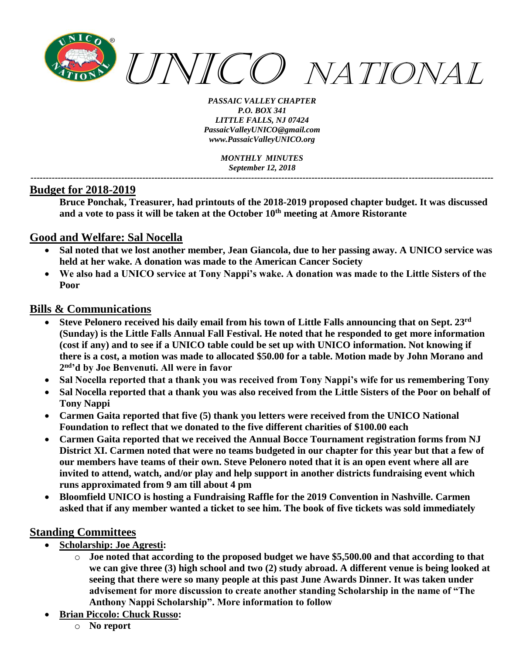

*MONTHLY MINUTES September 12, 2018 ---------------------------------------------------------------------------------------------------------------------------------------------------------*

### **Budget for 2018-2019**

**Bruce Ponchak, Treasurer, had printouts of the 2018-2019 proposed chapter budget. It was discussed and a vote to pass it will be taken at the October 10th meeting at Amore Ristorante**

### **Good and Welfare: Sal Nocella**

- **Sal noted that we lost another member, Jean Giancola, due to her passing away. A UNICO service was held at her wake. A donation was made to the American Cancer Society**
- **We also had a UNICO service at Tony Nappi's wake. A donation was made to the Little Sisters of the Poor**

### **Bills & Communications**

- **Steve Pelonero received his daily email from his town of Little Falls announcing that on Sept. 23rd (Sunday) is the Little Falls Annual Fall Festival. He noted that he responded to get more information (cost if any) and to see if a UNICO table could be set up with UNICO information. Not knowing if there is a cost, a motion was made to allocated \$50.00 for a table. Motion made by John Morano and 2 nd'd by Joe Benvenuti. All were in favor**
- **Sal Nocella reported that a thank you was received from Tony Nappi's wife for us remembering Tony**
- **Sal Nocella reported that a thank you was also received from the Little Sisters of the Poor on behalf of Tony Nappi**
- **Carmen Gaita reported that five (5) thank you letters were received from the UNICO National Foundation to reflect that we donated to the five different charities of \$100.00 each**
- **Carmen Gaita reported that we received the Annual Bocce Tournament registration forms from NJ District XI. Carmen noted that were no teams budgeted in our chapter for this year but that a few of our members have teams of their own. Steve Pelonero noted that it is an open event where all are invited to attend, watch, and/or play and help support in another districts fundraising event which runs approximated from 9 am till about 4 pm**
- **Bloomfield UNICO is hosting a Fundraising Raffle for the 2019 Convention in Nashville. Carmen asked that if any member wanted a ticket to see him. The book of five tickets was sold immediately**

### **Standing Committees**

- **Scholarship: Joe Agresti:**
	- o **Joe noted that according to the proposed budget we have \$5,500.00 and that according to that we can give three (3) high school and two (2) study abroad. A different venue is being looked at seeing that there were so many people at this past June Awards Dinner. It was taken under advisement for more discussion to create another standing Scholarship in the name of "The Anthony Nappi Scholarship". More information to follow**
- **Brian Piccolo: Chuck Russo:**
	- o **No report**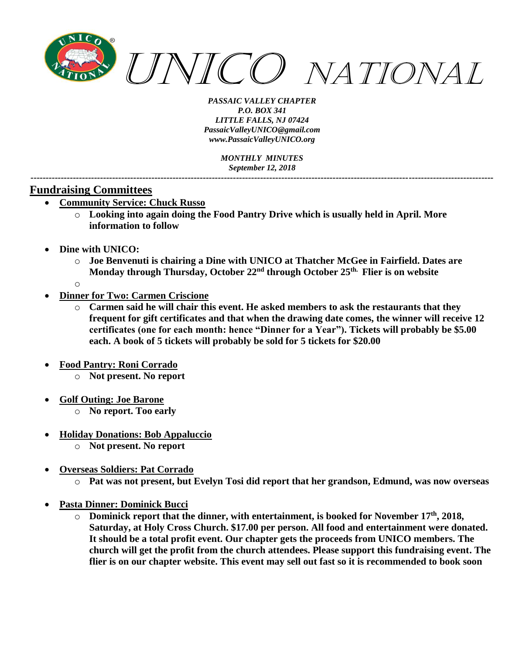

*MONTHLY MINUTES September 12, 2018 ---------------------------------------------------------------------------------------------------------------------------------------------------------*

### **Fundraising Committees**

- **Community Service: Chuck Russo**
	- o **Looking into again doing the Food Pantry Drive which is usually held in April. More information to follow**
- **Dine with UNICO:** 
	- o **Joe Benvenuti is chairing a Dine with UNICO at Thatcher McGee in Fairfield. Dates are Monday through Thursday, October 22nd through October 25th. Flier is on website**
	- o
	- **Dinner for Two: Carmen Criscione**
		- o **Carmen said he will chair this event. He asked members to ask the restaurants that they frequent for gift certificates and that when the drawing date comes, the winner will receive 12 certificates (one for each month: hence "Dinner for a Year"). Tickets will probably be \$5.00 each. A book of 5 tickets will probably be sold for 5 tickets for \$20.00**
- **Food Pantry: Roni Corrado** 
	- o **Not present. No report**
- **Golf Outing: Joe Barone**
	- o **No report. Too early**
- **Holiday Donations: Bob Appaluccio**
	- o **Not present. No report**
- **Overseas Soldiers: Pat Corrado**
	- o **Pat was not present, but Evelyn Tosi did report that her grandson, Edmund, was now overseas**
- **Pasta Dinner: Dominick Bucci**
	- o **Dominick report that the dinner, with entertainment, is booked for November 17th, 2018, Saturday, at Holy Cross Church. \$17.00 per person. All food and entertainment were donated. It should be a total profit event. Our chapter gets the proceeds from UNICO members. The church will get the profit from the church attendees. Please support this fundraising event. The flier is on our chapter website. This event may sell out fast so it is recommended to book soon**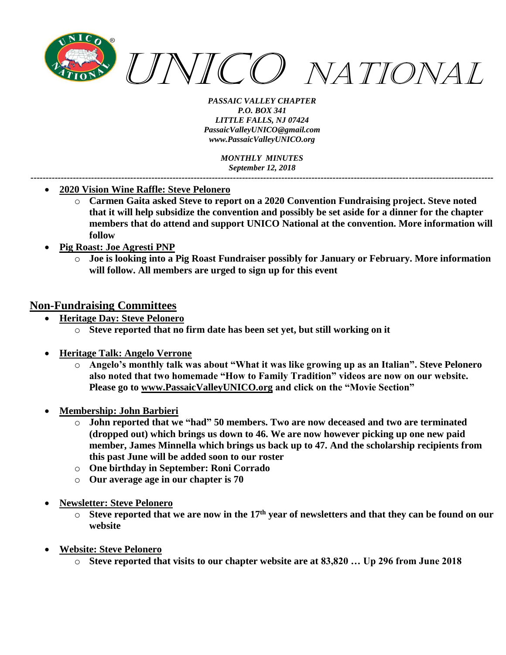

*MONTHLY MINUTES September 12, 2018 ---------------------------------------------------------------------------------------------------------------------------------------------------------*

- **2020 Vision Wine Raffle: Steve Pelonero**
	- o **Carmen Gaita asked Steve to report on a 2020 Convention Fundraising project. Steve noted that it will help subsidize the convention and possibly be set aside for a dinner for the chapter members that do attend and support UNICO National at the convention. More information will follow**
- **Pig Roast: Joe Agresti PNP**
	- o **Joe is looking into a Pig Roast Fundraiser possibly for January or February. More information will follow. All members are urged to sign up for this event**

### **Non-Fundraising Committees**

- **Heritage Day: Steve Pelonero**
	- o **Steve reported that no firm date has been set yet, but still working on it**
- **Heritage Talk: Angelo Verrone**
	- o **Angelo's monthly talk was about "What it was like growing up as an Italian". Steve Pelonero also noted that two homemade "How to Family Tradition" videos are now on our website. Please go to [www.PassaicValleyUNICO.org](http://www.passaicvalleyunico.org/) and click on the "Movie Section"**
- **Membership: John Barbieri**
	- o **John reported that we "had" 50 members. Two are now deceased and two are terminated (dropped out) which brings us down to 46. We are now however picking up one new paid member, James Minnella which brings us back up to 47. And the scholarship recipients from this past June will be added soon to our roster**
	- o **One birthday in September: Roni Corrado**
	- o **Our average age in our chapter is 70**
- **Newsletter: Steve Pelonero**
	- $\circ$  Steve reported that we are now in the 17<sup>th</sup> year of newsletters and that they can be found on our **website**
- **Website: Steve Pelonero**
	- o **Steve reported that visits to our chapter website are at 83,820 … Up 296 from June 2018**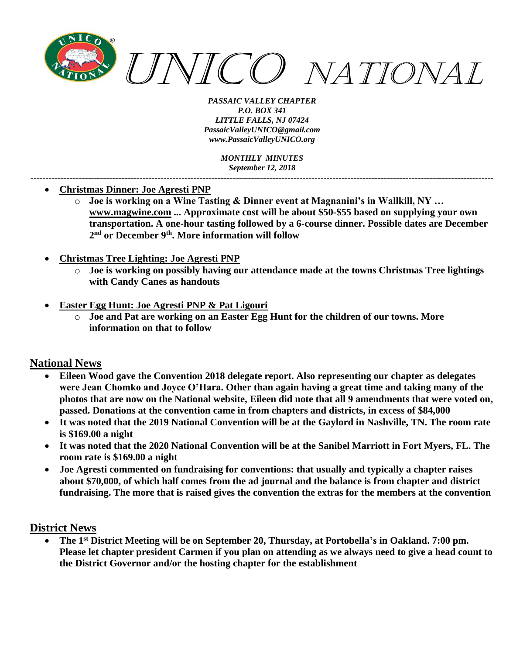

*MONTHLY MINUTES September 12, 2018 ---------------------------------------------------------------------------------------------------------------------------------------------------------*

- **Christmas Dinner: Joe Agresti PNP**
	- o **Joe is working on a Wine Tasting & Dinner event at Magnanini's in Wallkill, NY … [www.magwine.com](http://www.magwine.com/) ... Approximate cost will be about \$50-\$55 based on supplying your own transportation. A one-hour tasting followed by a 6-course dinner. Possible dates are December 2 nd or December 9th . More information will follow**
- **Christmas Tree Lighting: Joe Agresti PNP**
	- o **Joe is working on possibly having our attendance made at the towns Christmas Tree lightings with Candy Canes as handouts**
- **Easter Egg Hunt: Joe Agresti PNP & Pat Ligouri**
	- o **Joe and Pat are working on an Easter Egg Hunt for the children of our towns. More information on that to follow**

### **National News**

- **Eileen Wood gave the Convention 2018 delegate report. Also representing our chapter as delegates were Jean Chomko and Joyce O'Hara. Other than again having a great time and taking many of the photos that are now on the National website, Eileen did note that all 9 amendments that were voted on, passed. Donations at the convention came in from chapters and districts, in excess of \$84,000**
- **It was noted that the 2019 National Convention will be at the Gaylord in Nashville, TN. The room rate is \$169.00 a night**
- **It was noted that the 2020 National Convention will be at the Sanibel Marriott in Fort Myers, FL. The room rate is \$169.00 a night**
- **Joe Agresti commented on fundraising for conventions: that usually and typically a chapter raises about \$70,000, of which half comes from the ad journal and the balance is from chapter and district fundraising. The more that is raised gives the convention the extras for the members at the convention**

#### **District News**

• **The 1 st District Meeting will be on September 20, Thursday, at Portobella's in Oakland. 7:00 pm. Please let chapter president Carmen if you plan on attending as we always need to give a head count to the District Governor and/or the hosting chapter for the establishment**